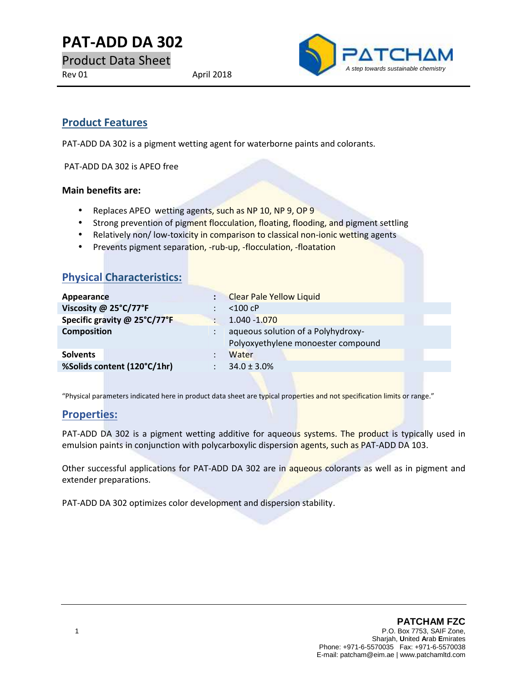**PAT-ADD DA 302**

Product Data Sheet



# **Product Features**

PAT-ADD DA 302 is a pigment wetting agent for waterborne paints and colorants.

PAT-ADD DA 302 is APEO free

#### **Main benefits are:**

- Replaces APEO wetting agents, such as NP 10, NP 9, OP 9
- Strong prevention of pigment flocculation, floating, flooding, and pigment settling
- Relatively non/low-toxicity in comparison to classical non-ionic wetting agents
- Prevents pigment separation, -rub-up, -flocculation, -floatation

| <b>Physical Characteristics:</b> |                                                                          |  |
|----------------------------------|--------------------------------------------------------------------------|--|
| Appearance                       | <b>Clear Pale Yellow Liquid</b>                                          |  |
| Viscosity @ 25°C/77°F            | $<$ 100 cP                                                               |  |
| Specific gravity @ 25°C/77°F     | $1.040 - 1.070$                                                          |  |
| <b>Composition</b>               | aqueous solution of a Polyhydroxy-<br>Polyoxyethylene monoester compound |  |
| <b>Solvents</b>                  | Water                                                                    |  |
| %Solids content (120°C/1hr)      | $34.0 \pm 3.0\%$                                                         |  |
|                                  |                                                                          |  |

"Physical parameters indicated here in product data sheet are typical properties and not specification limits or range."

### **Properties:**

PAT-ADD DA 302 is a pigment wetting additive for aqueous systems. The product is typically used in emulsion paints in conjunction with polycarboxylic dispersion agents, such as PAT-ADD DA 103.

Other successful applications for PAT-ADD DA 302 are in aqueous colorants as well as in pigment and extender preparations.

PAT-ADD DA 302 optimizes color development and dispersion stability.